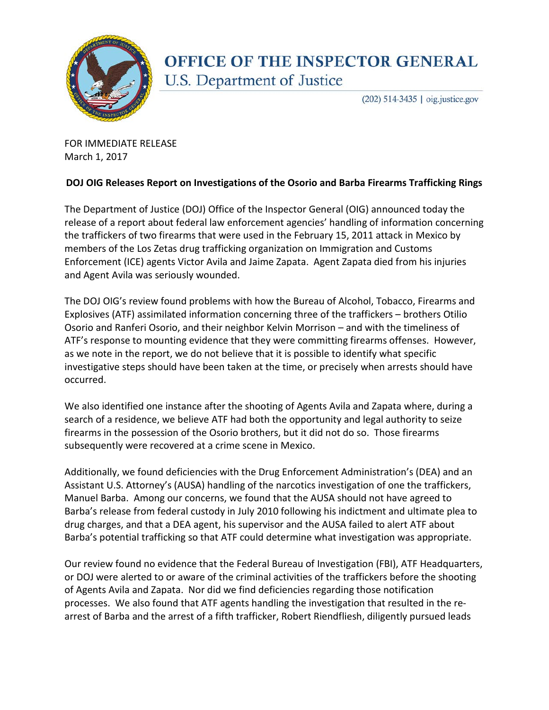

## **OFFICE OF THE INSPECTOR GENERAL** U.S. Department of Justice

(202) 514-3435 | oig.justice.gov

FOR IMMEDIATE RELEASE March 1, 2017

## **DOJ OIG Releases Report on Investigations of the Osorio and Barba Firearms Trafficking Rings**

The Department of Justice (DOJ) Office of the Inspector General (OIG) announced today the release of a report about federal law enforcement agencies' handling of information concerning the traffickers of two firearms that were used in the February 15, 2011 attack in Mexico by members of the Los Zetas drug trafficking organization on Immigration and Customs Enforcement (ICE) agents Victor Avila and Jaime Zapata. Agent Zapata died from his injuries and Agent Avila was seriously wounded.

The DOJ OIG's review found problems with how the Bureau of Alcohol, Tobacco, Firearms and Explosives (ATF) assimilated information concerning three of the traffickers – brothers Otilio Osorio and Ranferi Osorio, and their neighbor Kelvin Morrison – and with the timeliness of ATF's response to mounting evidence that they were committing firearms offenses. However, as we note in the report, we do not believe that it is possible to identify what specific investigative steps should have been taken at the time, or precisely when arrests should have occurred.

We also identified one instance after the shooting of Agents Avila and Zapata where, during a search of a residence, we believe ATF had both the opportunity and legal authority to seize firearms in the possession of the Osorio brothers, but it did not do so. Those firearms subsequently were recovered at a crime scene in Mexico.

Additionally, we found deficiencies with the Drug Enforcement Administration's (DEA) and an Assistant U.S. Attorney's (AUSA) handling of the narcotics investigation of one the traffickers, Manuel Barba. Among our concerns, we found that the AUSA should not have agreed to Barba's release from federal custody in July 2010 following his indictment and ultimate plea to drug charges, and that a DEA agent, his supervisor and the AUSA failed to alert ATF about Barba's potential trafficking so that ATF could determine what investigation was appropriate.

Our review found no evidence that the Federal Bureau of Investigation (FBI), ATF Headquarters, or DOJ were alerted to or aware of the criminal activities of the traffickers before the shooting of Agents Avila and Zapata. Nor did we find deficiencies regarding those notification processes. We also found that ATF agents handling the investigation that resulted in the rearrest of Barba and the arrest of a fifth trafficker, Robert Riendfliesh, diligently pursued leads